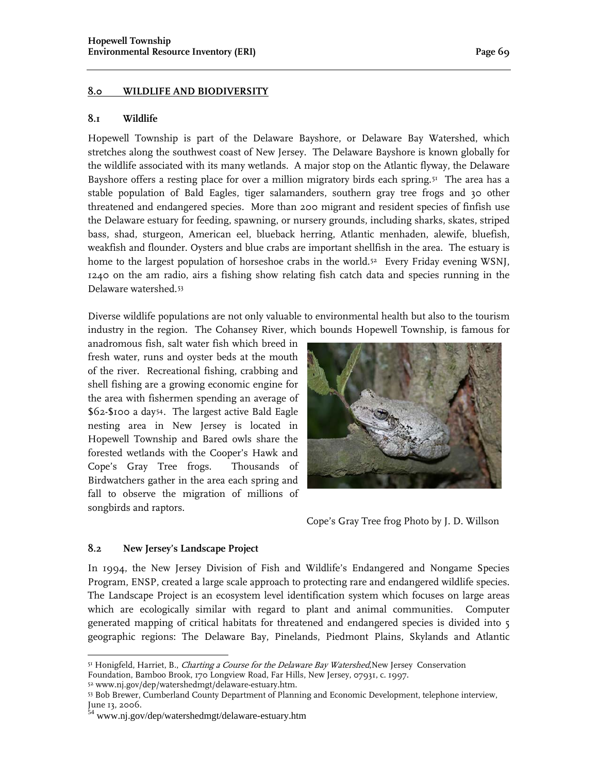#### **8.0 WILDLIFE AND BIODIVERSITY**

#### **8.1 Wildlife**

Hopewell Township is part of the Delaware Bayshore, or Delaware Bay Watershed, which stretches along the southwest coast of New Jersey. The Delaware Bayshore is known globally for the wildlife associated with its many wetlands. A major stop on the Atlantic flyway, the Delaware Bayshore offers a resting place for over a million migratory birds each spring.<sup>51</sup> The area has a stable population of Bald Eagles, tiger salamanders, southern gray tree frogs and 30 other threatened and endangered species. More than 200 migrant and resident species of finfish use the Delaware estuary for feeding, spawning, or nursery grounds, including sharks, skates, striped bass, shad, sturgeon, American eel, blueback herring, Atlantic menhaden, alewife, bluefish, weakfish and flounder. Oysters and blue crabs are important shellfish in the area. The estuary is home to the largest population of horseshoe crabs in the world.<sup>52</sup> Every Friday evening WSNJ, 1240 on the am radio, airs a fishing show relating fish catch data and species running in the Delaware watershed.[53](#page-0-2)

Diverse wildlife populations are not only valuable to environmental health but also to the tourism industry in the region. The Cohansey River, which bounds Hopewell Township, is famous for

anadromous fish, salt water fish which breed in fresh water, runs and oyster beds at the mouth of the river. Recreational fishing, crabbing and shell fishing are a growing economic engine for the area with fishermen spending an average of \$62-\$100 a day[54](#page-0-3). The largest active Bald Eagle nesting area in New Jersey is located in Hopewell Township and Bared owls share the forested wetlands with the Cooper's Hawk and Cope's Gray Tree frogs. Thousands of Birdwatchers gather in the area each spring and fall to observe the migration of millions of songbirds and raptors.



Cope's Gray Tree frog Photo by J. D. Willson

#### **8.2 New Jersey's Landscape Project**

 $\overline{a}$ 

In 1994, the New Jersey Division of Fish and Wildlife's Endangered and Nongame Species Program, ENSP, created a large scale approach to protecting rare and endangered wildlife species. The Landscape Project is an ecosystem level identification system which focuses on large areas which are ecologically similar with regard to plant and animal communities. Computer generated mapping of critical habitats for threatened and endangered species is divided into 5 geographic regions: The Delaware Bay, Pinelands, Piedmont Plains, Skylands and Atlantic

<span id="page-0-0"></span><sup>51</sup> Honigfeld, Harriet, B., Charting a Course for the Delaware Bay Watershed, New Jersey Conservation Foundation, Bamboo Brook, 170 Longview Road, Far Hills, New Jersey, 07931, c. 1997. 52 www.nj.gov/dep/watershedmgt/delaware-estuary.htm.

<span id="page-0-2"></span><span id="page-0-1"></span><sup>53</sup> Bob Brewer, Cumberland County Department of Planning and Economic Development, telephone interview, June 13, 2006.

<span id="page-0-3"></span><sup>54</sup> www.nj.gov/dep/watershedmgt/delaware-estuary.htm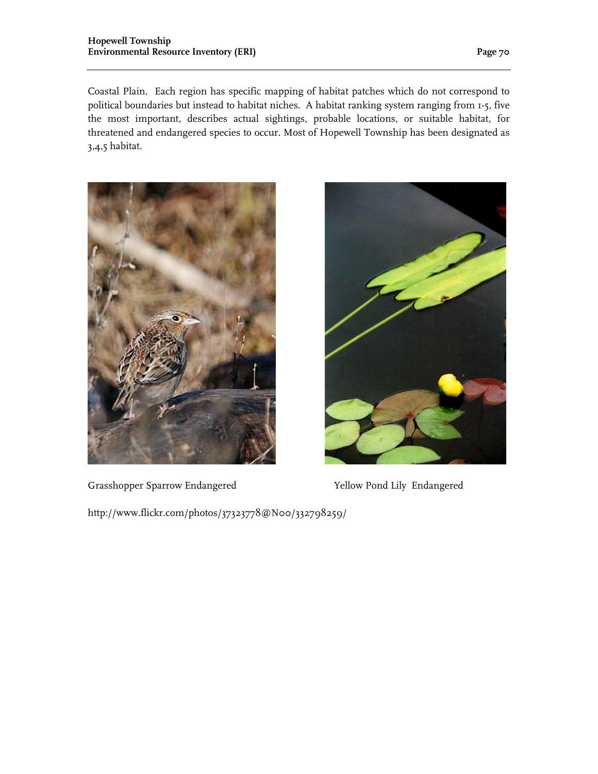Coastal Plain. Each region has specific mapping of habitat patches which do not correspond to political boundaries but instead to habitat niches. A habitat ranking system ranging from 1-5, five the most important, describes actual sightings, probable locations, or suitable habitat, for threatened and endangered species to occur. Most of Hopewell Township has been designated as 3,4,5 habitat.



Grasshopper Sparrow Endangered Yellow Pond Lily Endangered



http://www.flickr.com/photos/37323778@N00/332798259/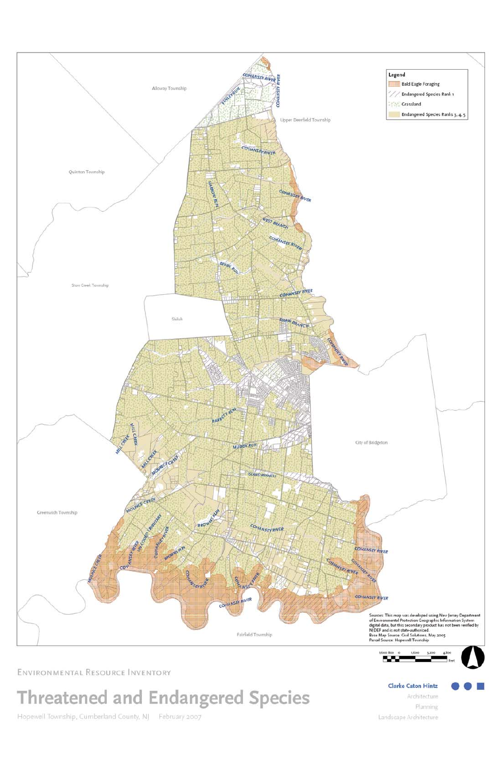

## ENVIRONMENTAL RESOURCE INVENTORY

# Threatened and Endangered Species

Hopewell Township, Cumberland County, NJ February 2007

**Clarke Caton Hintz** 

Architecture

Planning Landscape Architecture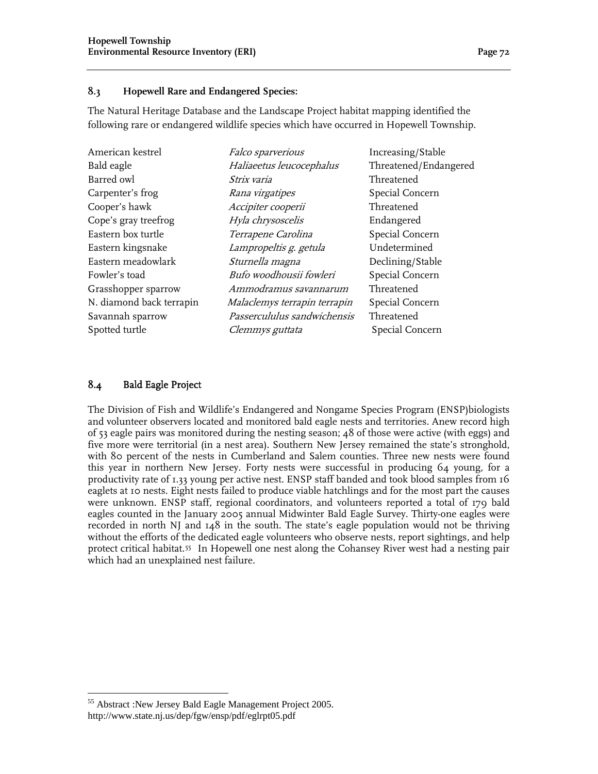#### **8.3 Hopewell Rare and Endangered Species:**

The Natural Heritage Database and the Landscape Project habitat mapping identified the following rare or endangered wildlife species which have occurred in Hopewell Township.

| American kestrel         | <i>Falco sparverious</i>     | Increasing/Stable     |
|--------------------------|------------------------------|-----------------------|
| Bald eagle               | Haliaeetus leucocephalus     | Threatened/Endangered |
| Barred owl               | Strix varia                  | Threatened            |
| Carpenter's frog         | Rana virgatipes              | Special Concern       |
| Cooper's hawk            | Accipiter cooperii           | Threatened            |
| Cope's gray treefrog     | Hyla chrysoscelis            | Endangered            |
| Eastern box turtle       | Terrapene Carolina           | Special Concern       |
| Eastern kingsnake        | Lampropeltis g. getula       | Undetermined          |
| Eastern meadowlark       | Sturnella magna              | Declining/Stable      |
| Fowler's toad            | Bufo woodhousii fowleri      | Special Concern       |
| Grasshopper sparrow      | Ammodramus savannarum        | Threatened            |
| N. diamond back terrapin | Malaclemys terrapin terrapin | Special Concern       |
| Savannah sparrow         | Passercululus sandwichensis  | Threatened            |
| Spotted turtle           | <i>Clemmys guttata</i>       | Special Concern       |
|                          |                              |                       |

#### 8.4 Bald Eagle Project

 $\overline{a}$ 

The Division of Fish and Wildlife's Endangered and Nongame Species Program (ENSP)biologists and volunteer observers located and monitored bald eagle nests and territories. Anew record high of 53 eagle pairs was monitored during the nesting season; 48 of those were active (with eggs) and five more were territorial (in a nest area). Southern New Jersey remained the state's stronghold, with 80 percent of the nests in Cumberland and Salem counties. Three new nests were found this year in northern New Jersey. Forty nests were successful in producing 64 young, for a productivity rate of 1.33 young per active nest. ENSP staff banded and took blood samples from 16 eaglets at 10 nests. Eight nests failed to produce viable hatchlings and for the most part the causes were unknown. ENSP staff, regional coordinators, and volunteers reported a total of 179 bald eagles counted in the January 2005 annual Midwinter Bald Eagle Survey. Thirty-one eagles were recorded in north NJ and 148 in the south. The state's eagle population would not be thriving without the efforts of the dedicated eagle volunteers who observe nests, report sightings, and help protect critical habitat.[55](#page-3-0) In Hopewell one nest along the Cohansey River west had a nesting pair which had an unexplained nest failure.

<span id="page-3-0"></span><sup>55</sup> Abstract :New Jersey Bald Eagle Management Project 2005. http://www.state.nj.us/dep/fgw/ensp/pdf/eglrpt05.pdf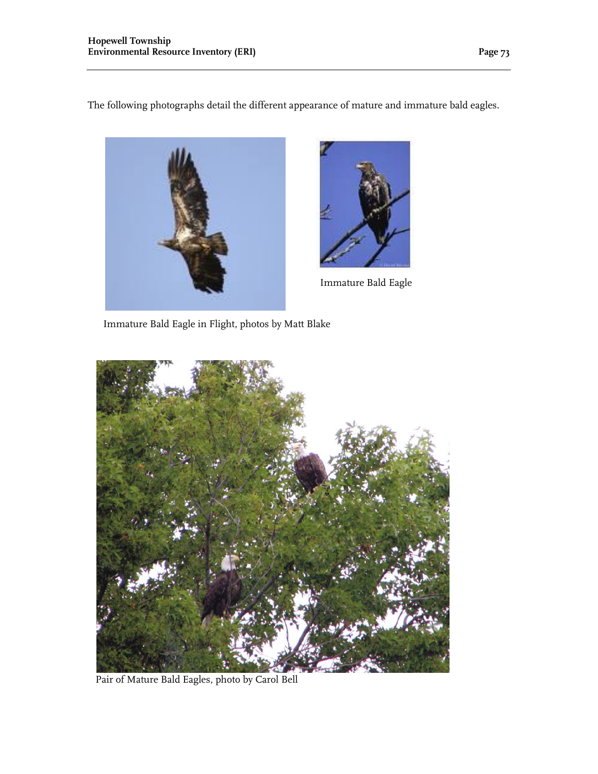The following photographs detail the different appearance of mature and immature bald eagles.





Immature Bald Eagle

Immature Bald Eagle in Flight, photos by Matt Blake



Pair of Mature Bald Eagles, photo by Carol Bell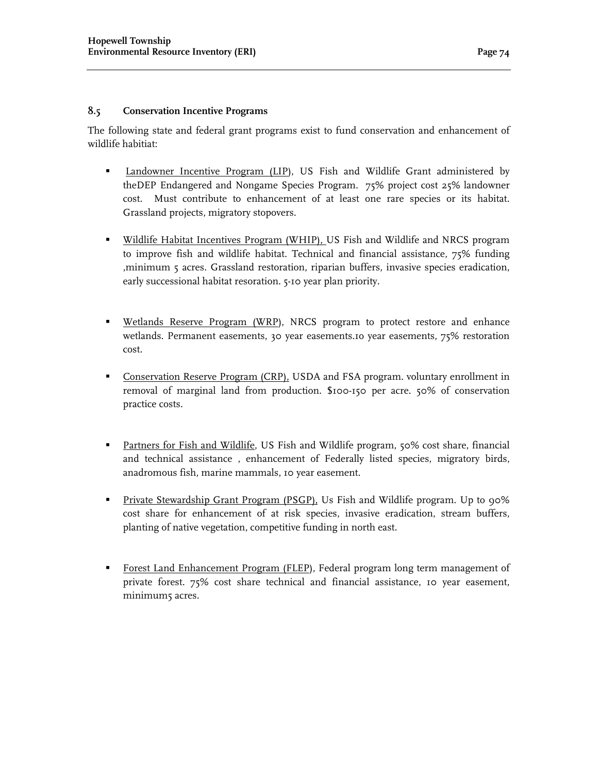#### **8.5 Conservation Incentive Programs**

The following state and federal grant programs exist to fund conservation and enhancement of wildlife habitiat:

- Landowner Incentive Program (LIP), US Fish and Wildlife Grant administered by theDEP Endangered and Nongame Species Program. 75% project cost 25% landowner cost. Must contribute to enhancement of at least one rare species or its habitat. Grassland projects, migratory stopovers.
- **Wildlife Habitat Incentives Program (WHIP), US Fish and Wildlife and NRCS program** to improve fish and wildlife habitat. Technical and financial assistance, 75% funding ,minimum 5 acres. Grassland restoration, riparian buffers, invasive species eradication, early successional habitat resoration. 5-10 year plan priority.
- **Wetlands Reserve Program (WRP)**, NRCS program to protect restore and enhance wetlands. Permanent easements, 30 year easements.1o year easements, 75% restoration cost.
- Conservation Reserve Program (CRP), USDA and FSA program. voluntary enrollment in removal of marginal land from production. \$100-150 per acre. 50% of conservation practice costs.
- **Partners for Fish and Wildlife, US Fish and Wildlife program, 50% cost share, financial** and technical assistance , enhancement of Federally listed species, migratory birds, anadromous fish, marine mammals, 10 year easement.
- Private Stewardship Grant Program (PSGP), Us Fish and Wildlife program. Up to 90% cost share for enhancement of at risk species, invasive eradication, stream buffers, planting of native vegetation, competitive funding in north east.
- Forest Land Enhancement Program (FLEP), Federal program long term management of private forest. 75% cost share technical and financial assistance, 10 year easement, minimum<sub>5</sub> acres.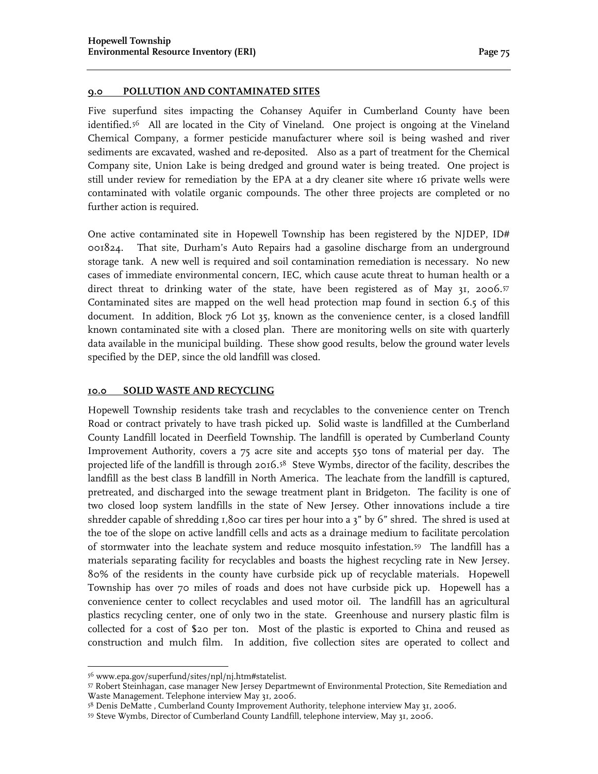#### **9.0 POLLUTION AND CONTAMINATED SITES**

Five superfund sites impacting the Cohansey Aquifer in Cumberland County have been identified.[56](#page-6-0) All are located in the City of Vineland. One project is ongoing at the Vineland Chemical Company, a former pesticide manufacturer where soil is being washed and river sediments are excavated, washed and re-deposited. Also as a part of treatment for the Chemical Company site, Union Lake is being dredged and ground water is being treated. One project is still under review for remediation by the EPA at a dry cleaner site where 16 private wells were contaminated with volatile organic compounds. The other three projects are completed or no further action is required.

One active contaminated site in Hopewell Township has been registered by the NJDEP, ID# 001824. That site, Durham's Auto Repairs had a gasoline discharge from an underground storage tank. A new well is required and soil contamination remediation is necessary. No new cases of immediate environmental concern, IEC, which cause acute threat to human health or a direct threat to drinking water of the state, have been registered as of May 31, 2006.[57](#page-6-1)  Contaminated sites are mapped on the well head protection map found in section 6.5 of this document. In addition, Block 76 Lot 35, known as the convenience center, is a closed landfill known contaminated site with a closed plan. There are monitoring wells on site with quarterly data available in the municipal building. These show good results, below the ground water levels specified by the DEP, since the old landfill was closed.

#### **10.0 SOLID WASTE AND RECYCLING**

Hopewell Township residents take trash and recyclables to the convenience center on Trench Road or contract privately to have trash picked up. Solid waste is landfilled at the Cumberland County Landfill located in Deerfield Township. The landfill is operated by Cumberland County Improvement Authority, covers a 75 acre site and accepts 550 tons of material per day. The projected life of the landfill is through 2016.[58](#page-6-2) Steve Wymbs, director of the facility, describes the landfill as the best class B landfill in North America. The leachate from the landfill is captured, pretreated, and discharged into the sewage treatment plant in Bridgeton. The facility is one of two closed loop system landfills in the state of New Jersey. Other innovations include a tire shredder capable of shredding 1,800 car tires per hour into a 3" by 6" shred. The shred is used at the toe of the slope on active landfill cells and acts as a drainage medium to facilitate percolation of stormwater into the leachate system and reduce mosquito infestation.[59](#page-6-3) The landfill has a materials separating facility for recyclables and boasts the highest recycling rate in New Jersey. 80% of the residents in the county have curbside pick up of recyclable materials. Hopewell Township has over 70 miles of roads and does not have curbside pick up. Hopewell has a convenience center to collect recyclables and used motor oil. The landfill has an agricultural plastics recycling center, one of only two in the state. Greenhouse and nursery plastic film is collected for a cost of \$20 per ton. Most of the plastic is exported to China and reused as construction and mulch film. In addition, five collection sites are operated to collect and

 $\overline{a}$ 

<sup>56</sup> www.epa.gov/superfund/sites/npl/nj.htm#statelist.

<span id="page-6-1"></span><span id="page-6-0"></span><sup>57</sup> Robert Steinhagan, case manager New Jersey Departmewnt of Environmental Protection, Site Remediation and Waste Management. Telephone interview May 31, 2006.

<span id="page-6-2"></span><sup>58</sup> Denis DeMatte , Cumberland County Improvement Authority, telephone interview May 31, 2006.

<span id="page-6-3"></span><sup>59</sup> Steve Wymbs, Director of Cumberland County Landfill, telephone interview, May 31, 2006.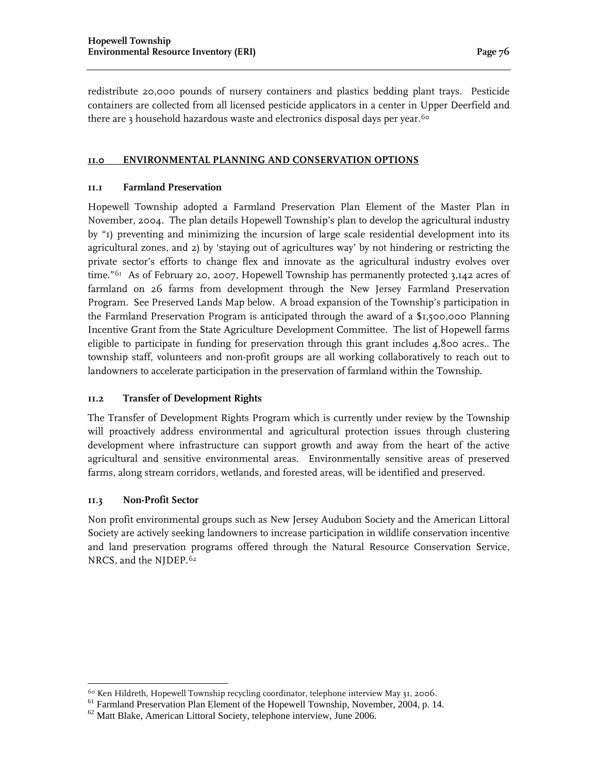redistribute 20,000 pounds of nursery containers and plastics bedding plant trays. Pesticide containers are collected from all licensed pesticide applicators in a center in Upper Deerfield and there are 3 household hazardous waste and electronics disposal days per year.<sup>[60](#page-7-0)</sup>

#### **11.0 ENVIRONMENTAL PLANNING AND CONSERVATION OPTIONS**

#### **11.1 Farmland Preservation**

Hopewell Township adopted a Farmland Preservation Plan Element of the Master Plan in November, 2004. The plan details Hopewell Township's plan to develop the agricultural industry by "1) preventing and minimizing the incursion of large scale residential development into its agricultural zones, and 2) by 'staying out of agricultures way' by not hindering or restricting the private sector's efforts to change flex and innovate as the agricultural industry evolves over time."<sup>[61](#page-7-1)</sup> As of February 20, 2007, Hopewell Township has permanently protected 3,142 acres of farmland on 26 farms from development through the New Jersey Farmland Preservation Program. See Preserved Lands Map below. A broad expansion of the Township's participation in the Farmland Preservation Program is anticipated through the award of a \$1,500,000 Planning Incentive Grant from the State Agriculture Development Committee. The list of Hopewell farms eligible to participate in funding for preservation through this grant includes 4,800 acres.. The township staff, volunteers and non-profit groups are all working collaboratively to reach out to landowners to accelerate participation in the preservation of farmland within the Township.

#### **11.2 Transfer of Development Rights**

The Transfer of Development Rights Program which is currently under review by the Township will proactively address environmental and agricultural protection issues through clustering development where infrastructure can support growth and away from the heart of the active agricultural and sensitive environmental areas. Environmentally sensitive areas of preserved farms, along stream corridors, wetlands, and forested areas, will be identified and preserved.

#### **11.3 Non-Profit Sector**

Non profit environmental groups such as New Jersey Audubon Society and the American Littoral Society are actively seeking landowners to increase participation in wildlife conservation incentive and land preservation programs offered through the Natural Resource Conservation Service, NRCS, and the NJDEP.[62](#page-7-2)

<span id="page-7-0"></span><sup>&</sup>lt;sup>60</sup> Ken Hildreth, Hopewell Township recycling coordinator, telephone interview May 31, 2006.

<span id="page-7-1"></span><sup>&</sup>lt;sup>61</sup> Farmland Preservation Plan Element of the Hopewell Township, November, 2004, p. 14.

<span id="page-7-2"></span> $62$  Matt Blake, American Littoral Society, telephone interview, June 2006.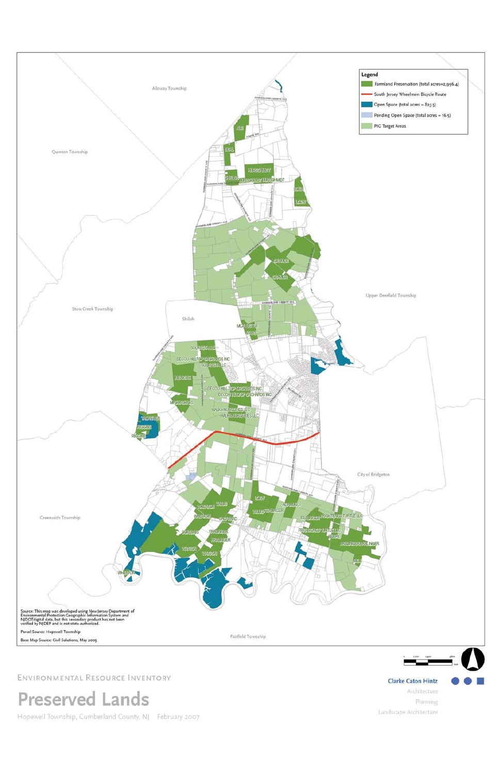

| Source: This map was developed using New Jersey Department of<br>Environmental Protection Geographic Information System and<br>NJDOTdigital data, but this secondary product has not been<br>verified by NJDEP and is not state-authorized. |                                           |  |
|---------------------------------------------------------------------------------------------------------------------------------------------------------------------------------------------------------------------------------------------|-------------------------------------------|--|
| Parcel Source: Hopewell Township<br>Base Map Source: Civil Solutions, May 2005                                                                                                                                                              | Fairfield Township<br>THE PERSON NEWSFILM |  |

## ENVIRONMENTAL RESOURCE INVENTORY

## Preserved Lands

Hopewell Township, Cumberland County, NJ February 2007

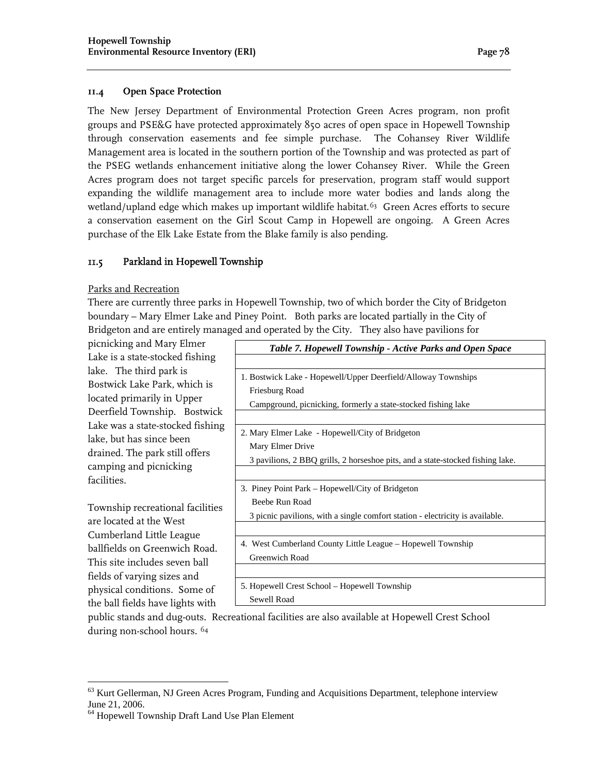#### **11.4 Open Space Protection**

The New Jersey Department of Environmental Protection Green Acres program, non profit groups and PSE&G have protected approximately 850 acres of open space in Hopewell Township through conservation easements and fee simple purchase. The Cohansey River Wildlife Management area is located in the southern portion of the Township and was protected as part of the PSEG wetlands enhancement initiative along the lower Cohansey River. While the Green Acres program does not target specific parcels for preservation, program staff would support expanding the wildlife management area to include more water bodies and lands along the wetland/upland edge which makes up important wildlife habitat.<sup>[63](#page-9-0)</sup> Green Acres efforts to secure a conservation easement on the Girl Scout Camp in Hopewell are ongoing. A Green Acres purchase of the Elk Lake Estate from the Blake family is also pending.

#### 11.5 Parkland in Hopewell Township

#### Parks and Recreation

There are currently three parks in Hopewell Township, two of which border the City of Bridgeton boundary – Mary Elmer Lake and Piney Point. Both parks are located partially in the City of Bridgeton and are entirely managed and operated by the City. They also have pavilions for

picnicking and Mary Elmer Lake is a state-stocked fishing lake. The third park is Bostwick Lake Park, which is located primarily in Upper Deerfield Township. Bostwick Lake was a state-stocked fishing lake, but has since been drained. The park still offers camping and picnicking facilities.

Township recreational facilities are located at the West Cumberland Little League ballfields on Greenwich Road. This site includes seven ball fields of varying sizes and physical conditions. Some of the ball fields have lights with

 $\overline{a}$ 

| Table 7. Hopewell Township - Active Parks and Open Space                       |  |  |
|--------------------------------------------------------------------------------|--|--|
|                                                                                |  |  |
| 1. Bostwick Lake - Hopewell/Upper Deerfield/Alloway Townships                  |  |  |
| Friesburg Road                                                                 |  |  |
| Campground, picnicking, formerly a state-stocked fishing lake                  |  |  |
|                                                                                |  |  |
| 2. Mary Elmer Lake - Hopewell/City of Bridgeton                                |  |  |
| Mary Elmer Drive                                                               |  |  |
| 3 pavilions, 2 BBQ grills, 2 horseshoe pits, and a state-stocked fishing lake. |  |  |
|                                                                                |  |  |
| 3. Piney Point Park – Hopewell/City of Bridgeton                               |  |  |
| Beebe Run Road                                                                 |  |  |
| 3 picnic pavilions, with a single comfort station - electricity is available.  |  |  |
|                                                                                |  |  |
| 4. West Cumberland County Little League – Hopewell Township                    |  |  |
| Greenwich Road                                                                 |  |  |
|                                                                                |  |  |
| 5. Hopewell Crest School – Hopewell Township                                   |  |  |
| Sewell Road                                                                    |  |  |
| tional facilities are also available at Henouvell Creet School                 |  |  |

public stands and dug-outs. Recreational facilities are also available at Hopewell Crest School during non-school hours. [64](#page-9-1)

<span id="page-9-0"></span> $63$  Kurt Gellerman, NJ Green Acres Program, Funding and Acquisitions Department, telephone interview June 21, 2006.

<span id="page-9-1"></span><sup>64</sup> Hopewell Township Draft Land Use Plan Element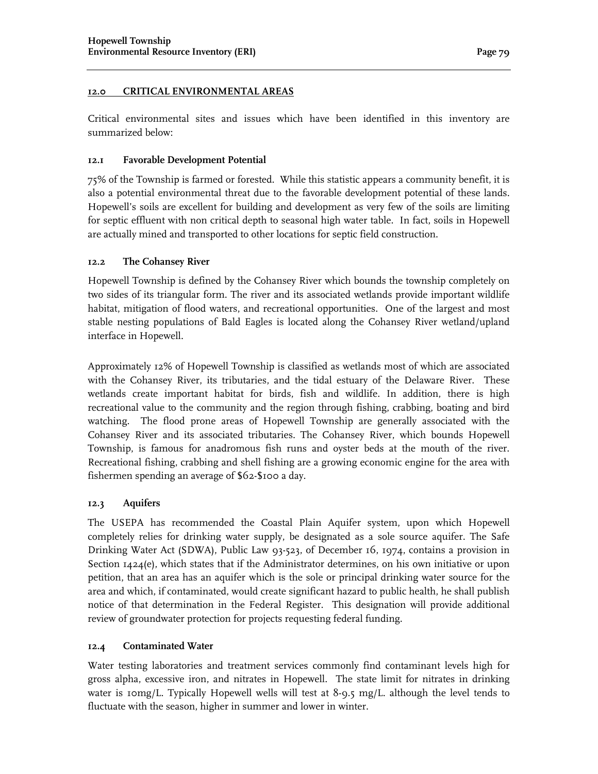#### **12.0 CRITICAL ENVIRONMENTAL AREAS**

Critical environmental sites and issues which have been identified in this inventory are summarized below:

#### **12.1 Favorable Development Potential**

75% of the Township is farmed or forested. While this statistic appears a community benefit, it is also a potential environmental threat due to the favorable development potential of these lands. Hopewell's soils are excellent for building and development as very few of the soils are limiting for septic effluent with non critical depth to seasonal high water table. In fact, soils in Hopewell are actually mined and transported to other locations for septic field construction.

#### **12.2 The Cohansey River**

Hopewell Township is defined by the Cohansey River which bounds the township completely on two sides of its triangular form. The river and its associated wetlands provide important wildlife habitat, mitigation of flood waters, and recreational opportunities. One of the largest and most stable nesting populations of Bald Eagles is located along the Cohansey River wetland/upland interface in Hopewell.

Approximately 12% of Hopewell Township is classified as wetlands most of which are associated with the Cohansey River, its tributaries, and the tidal estuary of the Delaware River. These wetlands create important habitat for birds, fish and wildlife. In addition, there is high recreational value to the community and the region through fishing, crabbing, boating and bird watching. The flood prone areas of Hopewell Township are generally associated with the Cohansey River and its associated tributaries. The Cohansey River, which bounds Hopewell Township, is famous for anadromous fish runs and oyster beds at the mouth of the river. Recreational fishing, crabbing and shell fishing are a growing economic engine for the area with fishermen spending an average of \$62-\$100 a day.

#### **12.3 Aquifers**

The USEPA has recommended the Coastal Plain Aquifer system, upon which Hopewell completely relies for drinking water supply, be designated as a sole source aquifer. The Safe Drinking Water Act (SDWA), Public Law 93-523, of December 16, 1974, contains a provision in Section 1424(e), which states that if the Administrator determines, on his own initiative or upon petition, that an area has an aquifer which is the sole or principal drinking water source for the area and which, if contaminated, would create significant hazard to public health, he shall publish notice of that determination in the Federal Register. This designation will provide additional review of groundwater protection for projects requesting federal funding.

#### **12.4 Contaminated Water**

Water testing laboratories and treatment services commonly find contaminant levels high for gross alpha, excessive iron, and nitrates in Hopewell. The state limit for nitrates in drinking water is 10mg/L. Typically Hopewell wells will test at 8-9.5 mg/L. although the level tends to fluctuate with the season, higher in summer and lower in winter.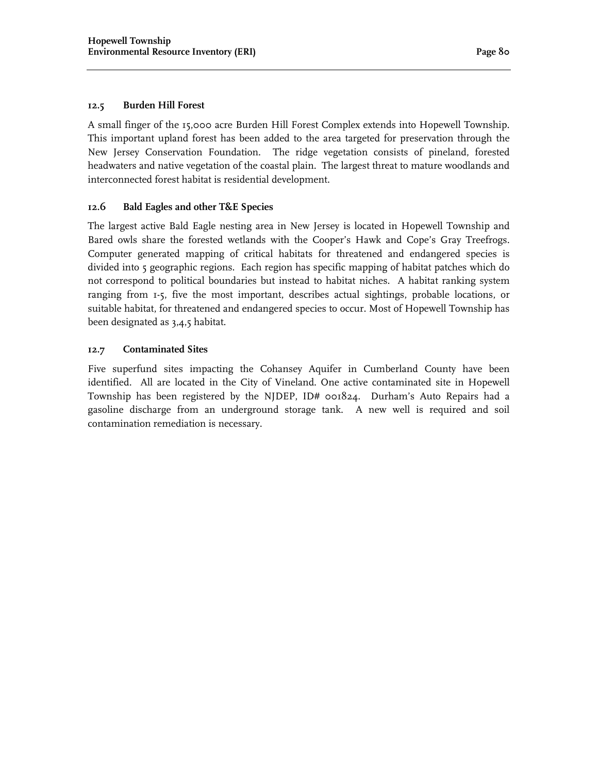#### **12.5 Burden Hill Forest**

A small finger of the 15,000 acre Burden Hill Forest Complex extends into Hopewell Township. This important upland forest has been added to the area targeted for preservation through the New Jersey Conservation Foundation. The ridge vegetation consists of pineland, forested headwaters and native vegetation of the coastal plain. The largest threat to mature woodlands and interconnected forest habitat is residential development.

#### **12.6 Bald Eagles and other T&E Species**

The largest active Bald Eagle nesting area in New Jersey is located in Hopewell Township and Bared owls share the forested wetlands with the Cooper's Hawk and Cope's Gray Treefrogs. Computer generated mapping of critical habitats for threatened and endangered species is divided into 5 geographic regions. Each region has specific mapping of habitat patches which do not correspond to political boundaries but instead to habitat niches. A habitat ranking system ranging from 1-5, five the most important, describes actual sightings, probable locations, or suitable habitat, for threatened and endangered species to occur. Most of Hopewell Township has been designated as 3,4,5 habitat.

#### **12.7 Contaminated Sites**

Five superfund sites impacting the Cohansey Aquifer in Cumberland County have been identified. All are located in the City of Vineland. One active contaminated site in Hopewell Township has been registered by the NJDEP, ID# 001824. Durham's Auto Repairs had a gasoline discharge from an underground storage tank. A new well is required and soil contamination remediation is necessary.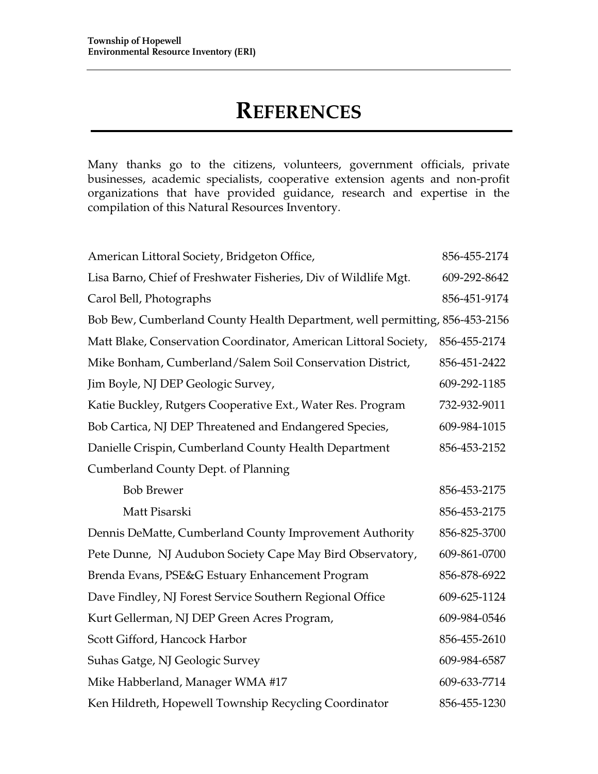## **REFERENCES**

Many thanks go to the citizens, volunteers, government officials, private businesses, academic specialists, cooperative extension agents and non-profit organizations that have provided guidance, research and expertise in the compilation of this Natural Resources Inventory.

| American Littoral Society, Bridgeton Office,                                | 856-455-2174 |
|-----------------------------------------------------------------------------|--------------|
| Lisa Barno, Chief of Freshwater Fisheries, Div of Wildlife Mgt.             | 609-292-8642 |
| Carol Bell, Photographs                                                     | 856-451-9174 |
| Bob Bew, Cumberland County Health Department, well permitting, 856-453-2156 |              |
| Matt Blake, Conservation Coordinator, American Littoral Society,            | 856-455-2174 |
| Mike Bonham, Cumberland/Salem Soil Conservation District,                   | 856-451-2422 |
| Jim Boyle, NJ DEP Geologic Survey,                                          | 609-292-1185 |
| Katie Buckley, Rutgers Cooperative Ext., Water Res. Program                 | 732-932-9011 |
| Bob Cartica, NJ DEP Threatened and Endangered Species,                      | 609-984-1015 |
| Danielle Crispin, Cumberland County Health Department                       | 856-453-2152 |
| <b>Cumberland County Dept. of Planning</b>                                  |              |
| <b>Bob Brewer</b>                                                           | 856-453-2175 |
| Matt Pisarski                                                               | 856-453-2175 |
| Dennis DeMatte, Cumberland County Improvement Authority                     | 856-825-3700 |
| Pete Dunne, NJ Audubon Society Cape May Bird Observatory,                   | 609-861-0700 |
| Brenda Evans, PSE&G Estuary Enhancement Program                             | 856-878-6922 |
| Dave Findley, NJ Forest Service Southern Regional Office                    | 609-625-1124 |
| Kurt Gellerman, NJ DEP Green Acres Program,                                 | 609-984-0546 |
| Scott Gifford, Hancock Harbor                                               | 856-455-2610 |
| Suhas Gatge, NJ Geologic Survey                                             | 609-984-6587 |
| Mike Habberland, Manager WMA #17                                            | 609-633-7714 |
| Ken Hildreth, Hopewell Township Recycling Coordinator                       | 856-455-1230 |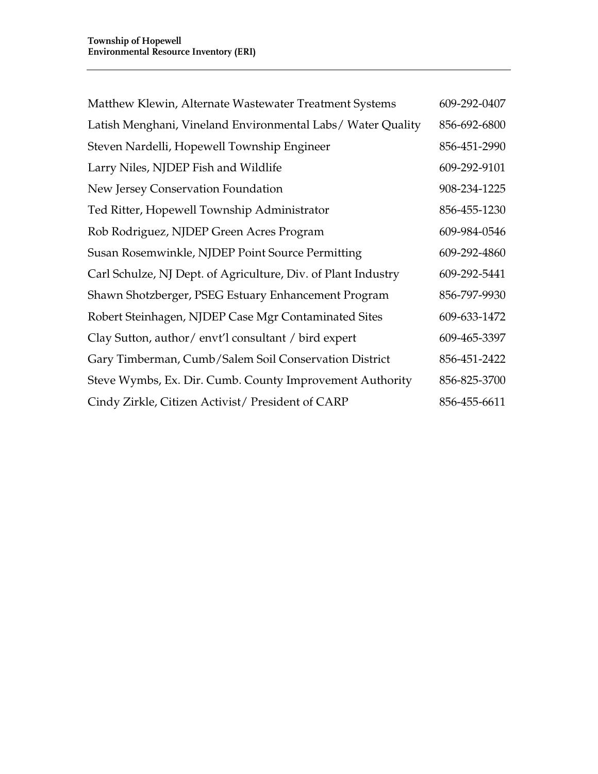| Matthew Klewin, Alternate Wastewater Treatment Systems        | 609-292-0407 |
|---------------------------------------------------------------|--------------|
| Latish Menghani, Vineland Environmental Labs/Water Quality    | 856-692-6800 |
| Steven Nardelli, Hopewell Township Engineer                   | 856-451-2990 |
| Larry Niles, NJDEP Fish and Wildlife                          | 609-292-9101 |
| New Jersey Conservation Foundation                            | 908-234-1225 |
| Ted Ritter, Hopewell Township Administrator                   | 856-455-1230 |
| Rob Rodriguez, NJDEP Green Acres Program                      | 609-984-0546 |
| Susan Rosemwinkle, NJDEP Point Source Permitting              | 609-292-4860 |
| Carl Schulze, NJ Dept. of Agriculture, Div. of Plant Industry | 609-292-5441 |
| Shawn Shotzberger, PSEG Estuary Enhancement Program           | 856-797-9930 |
| Robert Steinhagen, NJDEP Case Mgr Contaminated Sites          | 609-633-1472 |
| Clay Sutton, author/envt'l consultant / bird expert           | 609-465-3397 |
| Gary Timberman, Cumb/Salem Soil Conservation District         | 856-451-2422 |
| Steve Wymbs, Ex. Dir. Cumb. County Improvement Authority      | 856-825-3700 |
| Cindy Zirkle, Citizen Activist/ President of CARP             | 856-455-6611 |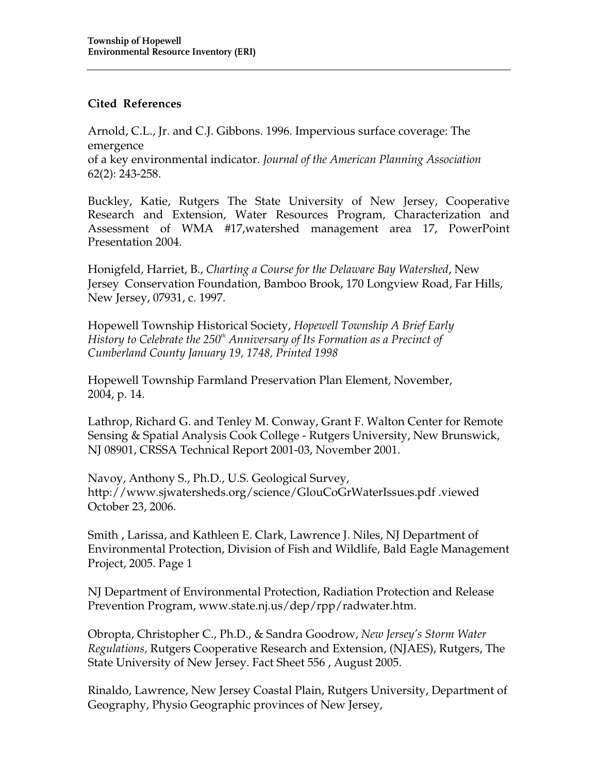#### **Cited References**

Arnold, C.L., Jr. and C.J. Gibbons. 1996. Impervious surface coverage: The emergence of a key environmental indicator. *Journal of the American Planning Association*  62(2): 243-258.

Buckley, Katie, Rutgers The State University of New Jersey, Cooperative Research and Extension, Water Resources Program, Characterization and Assessment of WMA #17,watershed management area 17, PowerPoint Presentation 2004.

Honigfeld, Harriet, B., *Charting a Course for the Delaware Bay Watershed*, New Jersey Conservation Foundation, Bamboo Brook, 170 Longview Road, Far Hills, New Jersey, 07931, c. 1997.

Hopewell Township Historical Society, *Hopewell Township A Brief Early History to Celebrate the 250th Anniversary of Its Formation as a Precinct of Cumberland County January 19, 1748, Printed 1998*

Hopewell Township Farmland Preservation Plan Element, November, 2004, p. 14.

Lathrop, Richard G. and Tenley M. Conway, Grant F. Walton Center for Remote Sensing & Spatial Analysis Cook College - Rutgers University, New Brunswick, NJ 08901, CRSSA Technical Report 2001-03, November 2001.

Navoy, Anthony S., Ph.D., U.S. Geological Survey, http://www.sjwatersheds.org/science/GlouCoGrWaterIssues.pdf .viewed October 23, 2006.

Smith , Larissa, and Kathleen E. Clark, Lawrence J. Niles, NJ Department of Environmental Protection, Division of Fish and Wildlife, Bald Eagle Management Project, 2005. Page 1

NJ Department of Environmental Protection, Radiation Protection and Release Prevention Program, www.state.nj.us/dep/rpp/radwater.htm.

Obropta, Christopher C., Ph.D., & Sandra Goodrow, *New Jersey's Storm Water Regulations,* Rutgers Cooperative Research and Extension, (NJAES), Rutgers, The State University of New Jersey. Fact Sheet 556 , August 2005.

Rinaldo, Lawrence, New Jersey Coastal Plain, Rutgers University, Department of Geography, Physio Geographic provinces of New Jersey,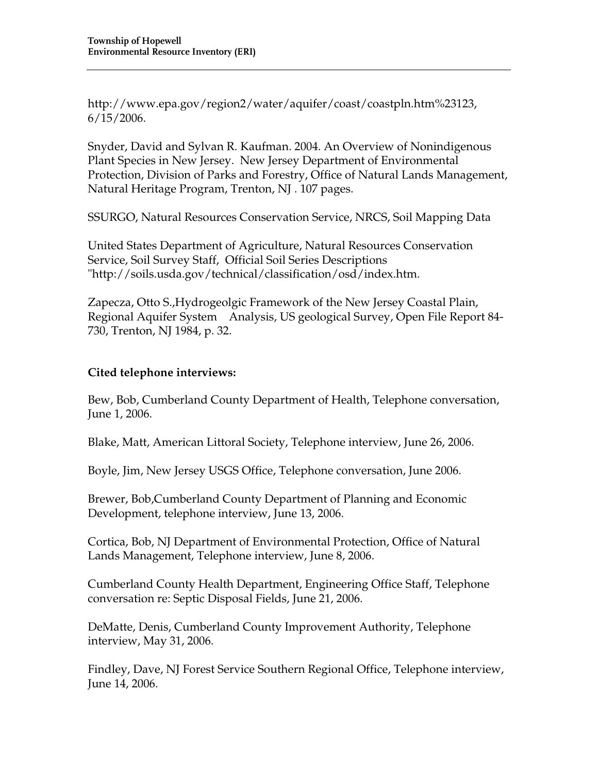http://www.epa.gov/region2/water/aquifer/coast/coastpln.htm%23123, 6/15/2006.

Snyder, David and Sylvan R. Kaufman. 2004. An Overview of Nonindigenous Plant Species in New Jersey. New Jersey Department of Environmental Protection, Division of Parks and Forestry, Office of Natural Lands Management, Natural Heritage Program, Trenton, NJ . 107 pages.

SSURGO, Natural Resources Conservation Service, NRCS, Soil Mapping Data

United States Department of Agriculture, Natural Resources Conservation Service, Soil Survey Staff, Official Soil Series Descriptions "http://soils.usda.gov/technical/classification/osd/index.htm.

Zapecza, Otto S.,Hydrogeolgic Framework of the New Jersey Coastal Plain, Regional Aquifer System Analysis, US geological Survey, Open File Report 84- 730, Trenton, NJ 1984, p. 32.

### **Cited telephone interviews:**

Bew, Bob, Cumberland County Department of Health, Telephone conversation, June 1, 2006.

Blake, Matt, American Littoral Society, Telephone interview, June 26, 2006.

Boyle, Jim, New Jersey USGS Office, Telephone conversation, June 2006.

Brewer, Bob,Cumberland County Department of Planning and Economic Development, telephone interview, June 13, 2006.

Cortica, Bob, NJ Department of Environmental Protection, Office of Natural Lands Management, Telephone interview, June 8, 2006.

Cumberland County Health Department, Engineering Office Staff, Telephone conversation re: Septic Disposal Fields, June 21, 2006.

DeMatte, Denis, Cumberland County Improvement Authority, Telephone interview, May 31, 2006.

Findley, Dave, NJ Forest Service Southern Regional Office, Telephone interview, June 14, 2006.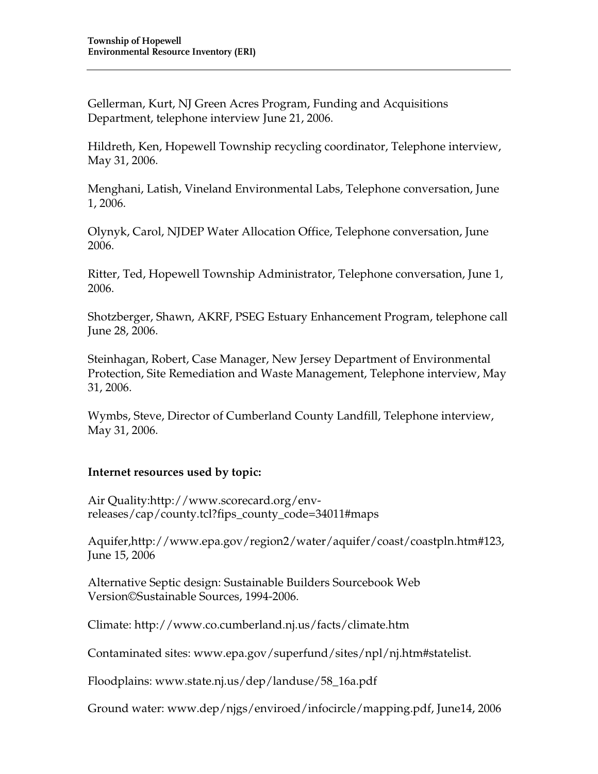Gellerman, Kurt, NJ Green Acres Program, Funding and Acquisitions Department, telephone interview June 21, 2006.

Hildreth, Ken, Hopewell Township recycling coordinator, Telephone interview, May 31, 2006.

Menghani, Latish, Vineland Environmental Labs, Telephone conversation, June 1, 2006.

Olynyk, Carol, NJDEP Water Allocation Office, Telephone conversation, June 2006.

Ritter, Ted, Hopewell Township Administrator, Telephone conversation, June 1, 2006.

Shotzberger, Shawn, AKRF, PSEG Estuary Enhancement Program, telephone call June 28, 2006.

Steinhagan, Robert, Case Manager, New Jersey Department of Environmental Protection, Site Remediation and Waste Management, Telephone interview, May 31, 2006.

Wymbs, Steve, Director of Cumberland County Landfill, Telephone interview, May 31, 2006.

### **Internet resources used by topic:**

Air Quality:http://www.scorecard.org/envreleases/cap/county.tcl?fips\_county\_code=34011#maps

Aquifer,http://www.epa.gov/region2/water/aquifer/coast/coastpln.htm#123, June 15, 2006

Alternative Septic design: Sustainable Builders Sourcebook Web Version©Sustainable Sources, 1994-2006.

Climate: http://www.co.cumberland.nj.us/facts/climate.htm

Contaminated sites: www.epa.gov/superfund/sites/npl/nj.htm#statelist.

Floodplains: www.state.nj.us/dep/landuse/58\_16a.pdf

Ground water: www.dep/njgs/enviroed/infocircle/mapping.pdf, June14, 2006